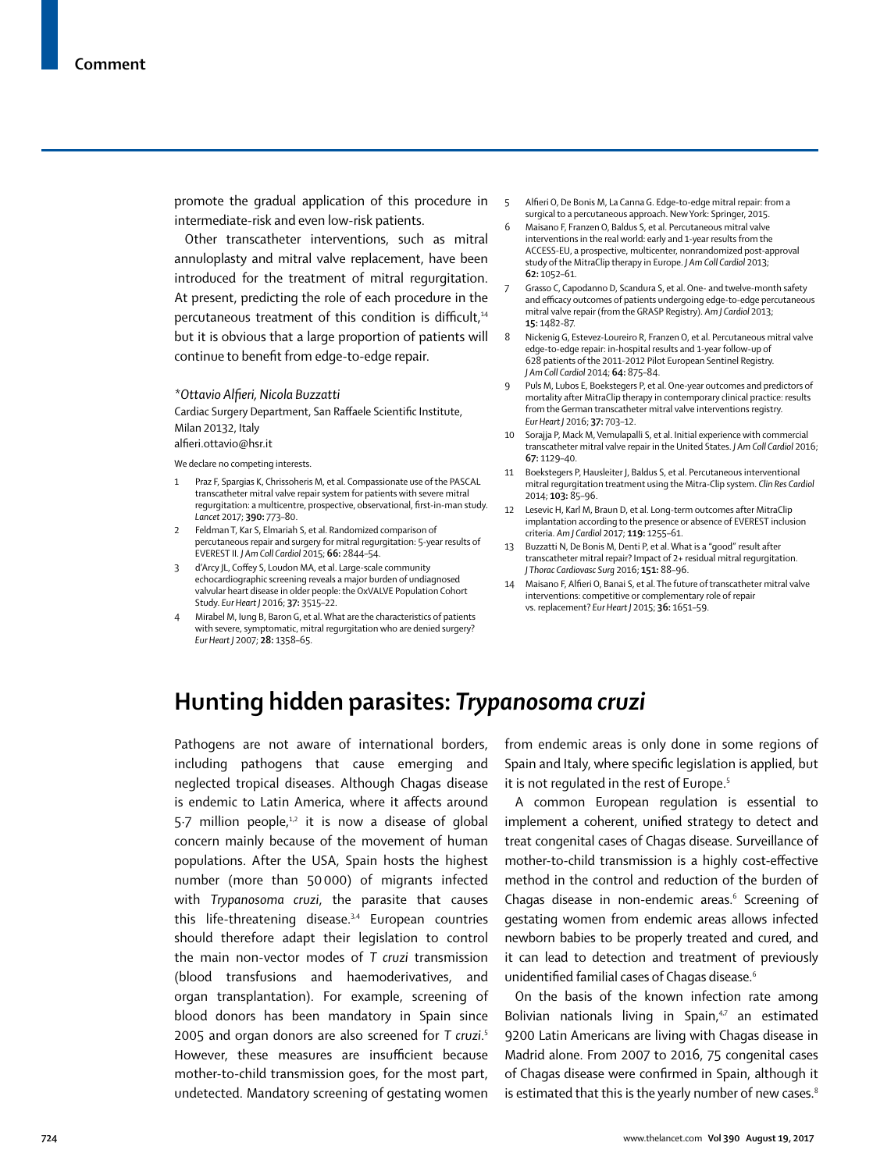promote the gradual application of this procedure in intermediate-risk and even low-risk patients.

Other transcatheter interventions, such as mitral annuloplasty and mitral valve replacement, have been introduced for the treatment of mitral regurgitation. At present, predicting the role of each procedure in the percutaneous treatment of this condition is difficult,<sup>14</sup> but it is obvious that a large proportion of patients will continue to benefit from edge-to-edge repair.

## *\*Ottavio Alfieri, Nicola Buzzatti*

Cardiac Surgery Department, San Raffaele Scientific Institute, Milan 20132, Italy

alfieri.ottavio@hsr.it

We declare no competing interests.

- 1 Praz F, Spargias K, Chrissoheris M, et al. Compassionate use of the PASCAL transcatheter mitral valve repair system for patients with severe mitral regurgitation: a multicentre, prospective, observational, first-in-man study. *Lancet* 2017; **390:** 773–80.
- 2 Feldman T, Kar S, Elmariah S, et al. Randomized comparison of percutaneous repair and surgery for mitral regurgitation: 5-year results of EVEREST II. *J Am Coll Cardiol* 2015; **66:** 2844–54.
- 3 d'Arcy JL, Coffey S, Loudon MA, et al. Large-scale community echocardiographic screening reveals a major burden of undiagnosed valvular heart disease in older people: the OxVALVE Population Cohort Study. *Eur Heart J* 2016; **37:** 3515–22.
- Mirabel M, Iung B, Baron G, et al. What are the characteristics of patients with severe, symptomatic, mitral regurgitation who are denied surgery? *Eur Heart J* 2007; **28:** 1358–65.
- 5 Alfieri O, De Bonis M, La Canna G. Edge-to-edge mitral repair: from a surgical to a percutaneous approach. New York: Springer, 2015.
- 6 Maisano F, Franzen O, Baldus S, et al. Percutaneous mitral valve interventions in the real world: early and 1-year results from the ACCESS-EU, a prospective, multicenter, nonrandomized post-approval study of the MitraClip therapy in Europe. *J Am Coll Cardiol* 2013; **62:** 1052–61.
- Grasso C, Capodanno D, Scandura S, et al. One- and twelve-month safety and efficacy outcomes of patients undergoing edge-to-edge percutaneous mitral valve repair (from the GRASP Registry). *Am J Cardiol* 2013; **15:** 1482-87.
- 8 Nickenig G, Estevez-Loureiro R, Franzen O, et al. Percutaneous mitral valve edge-to-edge repair: in-hospital results and 1-year follow-up of 628 patients of the 2011-2012 Pilot European Sentinel Registry. *J Am Coll Cardiol* 2014; **64:** 875–84.
- Puls M, Lubos E, Boekstegers P, et al. One-year outcomes and predictors of mortality after MitraClip therapy in contemporary clinical practice: results from the German transcatheter mitral valve interventions registry. *Eur Heart J* 2016; **37:** 703–12.
- 10 Sorajja P, Mack M, Vemulapalli S, et al. Initial experience with commercial transcatheter mitral valve repair in the United States. *J Am Coll Cardiol* 2016; **67:** 1129–40.
- 11 Boekstegers P, Hausleiter J, Baldus S, et al. Percutaneous interventional mitral regurgitation treatment using the Mitra-Clip system. *Clin Res Cardiol* 2014; **103:** 85–96.
- 12 Lesevic H, Karl M, Braun D, et al. Long-term outcomes after MitraClip implantation according to the presence or absence of EVEREST inclusion criteria. *Am J Cardiol* 2017; **119:** 1255–61.
- 13 Buzzatti N, De Bonis M, Denti P, et al. What is a "good" result after transcatheter mitral repair? Impact of 2+ residual mitral regurgitation. *J Thorac Cardiovasc Surg* 2016; **151:** 88–96.
- 14 Maisano F, Alfieri O, Banai S, et al. The future of transcatheter mitral valve interventions: competitive or complementary role of repair vs. replacement? *Eur Heart J* 2015; **36:** 1651–59.

## **Hunting hidden parasites:** *Trypanosoma cruzi*

Pathogens are not aware of international borders, including pathogens that cause emerging and neglected tropical diseases. Although Chagas disease is endemic to Latin America, where it affects around 5.7 million people, $1,2$  it is now a disease of global concern mainly because of the movement of human populations. After the USA, Spain hosts the highest number (more than 50 000) of migrants infected with *Trypanosoma cruzi*, the parasite that causes this life-threatening disease. $3,4$  European countries should therefore adapt their legislation to control the main non-vector modes of *T cruzi* transmission (blood transfusions and haemoderivatives, and organ transplantation). For example, screening of blood donors has been mandatory in Spain since 2005 and organ donors are also screened for *T cruzi*. 5 However, these measures are insufficient because mother-to-child transmission goes, for the most part, undetected. Mandatory screening of gestating women from endemic areas is only done in some regions of Spain and Italy, where specific legislation is applied, but it is not regulated in the rest of Europe.<sup>5</sup>

A common European regulation is essential to implement a coherent, unified strategy to detect and treat congenital cases of Chagas disease. Surveillance of mother-to-child transmission is a highly cost-effective method in the control and reduction of the burden of Chagas disease in non-endemic areas.<sup>6</sup> Screening of gestating women from endemic areas allows infected newborn babies to be properly treated and cured, and it can lead to detection and treatment of previously unidentified familial cases of Chagas disease.<sup>6</sup>

On the basis of the known infection rate among Bolivian nationals living in Spain,<sup>4,7</sup> an estimated 9200 Latin Americans are living with Chagas disease in Madrid alone. From 2007 to 2016, 75 congenital cases of Chagas disease were confirmed in Spain, although it is estimated that this is the yearly number of new cases.<sup>8</sup>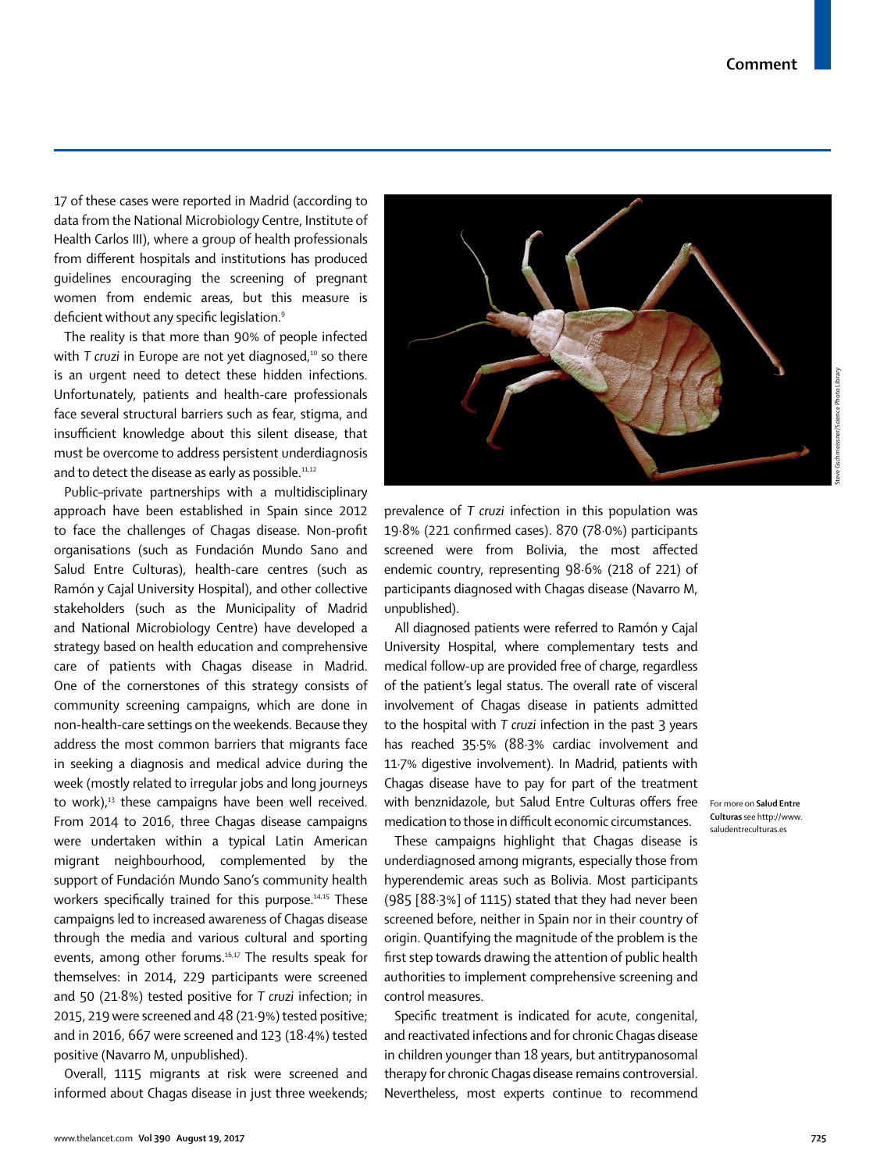17 of these cases were reported in Madrid (according to data from the National Microbiology Centre, Institute of Health Carlos III), where a group of health professionals from different hospitals and institutions has produced guidelines encouraging the screening of pregnant women from endemic areas, but this measure is deficient without any specific legislation.<sup>9</sup>

The reality is that more than 90% of people infected with *T* cruzi in Europe are not yet diagnosed,<sup>10</sup> so there is an urgent need to detect these hidden infections. Unfortunately, patients and health-care professionals face several structural barriers such as fear, stigma, and insufficient knowledge about this silent disease, that must be overcome to address persistent underdiagnosis and to detect the disease as early as possible.<sup>11,12</sup>

Public–private partnerships with a multidisciplinary approach have been established in Spain since 2012 to face the challenges of Chagas disease. Non-profit organisations (such as Fundación Mundo Sano and Salud Entre Culturas), health-care centres (such as Ramón y Cajal University Hospital), and other collective stakeholders (such as the Municipality of Madrid and National Microbiology Centre) have developed a strategy based on health education and comprehensive care of patients with Chagas disease in Madrid. One of the cornerstones of this strategy consists of community screening campaigns, which are done in non-health-care settings on the weekends. Because they address the most common barriers that migrants face in seeking a diagnosis and medical advice during the week (mostly related to irregular jobs and long journeys to work), $13$  these campaigns have been well received. From 2014 to 2016, three Chagas disease campaigns were undertaken within a typical Latin American migrant neighbourhood, complemented by the support of Fundación Mundo Sano's community health workers specifically trained for this purpose.<sup>14,15</sup> These campaigns led to increased awareness of Chagas disease through the media and various cultural and sporting events, among other forums.<sup>16,17</sup> The results speak for themselves: in 2014, 229 participants were screened and 50 (21·8%) tested positive for *T cruzi* infection; in 2015, 219 were screened and 48 (21·9%) tested positive; and in 2016, 667 were screened and 123 (18·4%) tested positive (Navarro M, unpublished).

Overall, 1115 migrants at risk were screened and informed about Chagas disease in just three weekends;



prevalence of *T cruzi* infection in this population was 19·8% (221 confirmed cases). 870 (78·0%) participants screened were from Bolivia, the most affected endemic country, representing 98·6% (218 of 221) of participants diagnosed with Chagas disease (Navarro M, unpublished).

All diagnosed patients were referred to Ramón y Cajal University Hospital, where complementary tests and medical follow-up are provided free of charge, regardless of the patient's legal status. The overall rate of visceral involvement of Chagas disease in patients admitted to the hospital with *T cruzi* infection in the past 3 years has reached 35·5% (88·3% cardiac involvement and 11·7% digestive involvement). In Madrid, patients with Chagas disease have to pay for part of the treatment with benznidazole, but [Salud Entre Culturas](http://www.saludentreculturas.es) offers free For more on **Salud Entre**  medication to those in difficult economic circumstances.

These campaigns highlight that Chagas disease is underdiagnosed among migrants, especially those from hyperendemic areas such as Bolivia. Most participants (985 [88·3%] of 1115) stated that they had never been screened before, neither in Spain nor in their country of origin. Quantifying the magnitude of the problem is the first step towards drawing the attention of public health authorities to implement comprehensive screening and control measures.

Specific treatment is indicated for acute, congenital, and reactivated infections and for chronic Chagas disease in children younger than 18 years, but antitrypanosomal therapy for chronic Chagas disease remains controversial. Nevertheless, most experts continue to recommend

**Culturas** see [http://www.](http://www.saludentreculturas.es) [saludentreculturas.es](http://www.saludentreculturas.es)